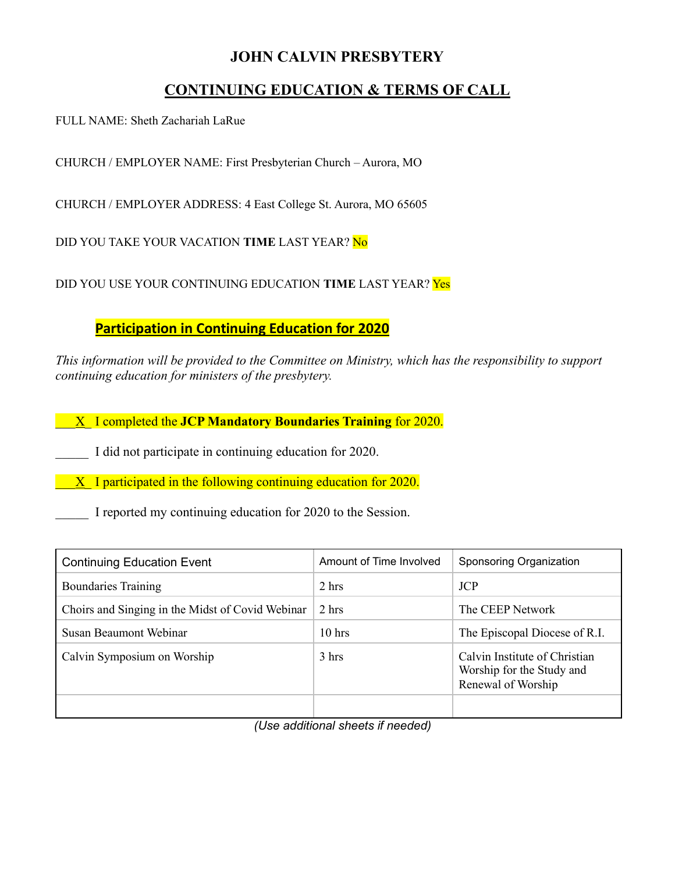## **JOHN CALVIN PRESBYTERY**

# **CONTINUING EDUCATION & TERMS OF CALL**

FULL NAME: Sheth Zachariah LaRue

CHURCH / EMPLOYER NAME: First Presbyterian Church – Aurora, MO

CHURCH / EMPLOYER ADDRESS: 4 East College St. Aurora, MO 65605

DID YOU TAKE YOUR VACATION **TIME** LAST YEAR? No

DID YOU USE YOUR CONTINUING EDUCATION **TIME** LAST YEAR? Yes

**Participation in Continuing Education for 2020**

*This information will be provided to the Committee on Ministry, which has the responsibility to support continuing education for ministers of the presbytery.* 

\_\_\_X\_ I completed the **JCP Mandatory Boundaries Training** for 2020.

I did not participate in continuing education for 2020.

 $\overline{X}$  I participated in the following continuing education for 2020.

I reported my continuing education for 2020 to the Session.

| <b>Continuing Education Event</b>                | Amount of Time Involved | Sponsoring Organization                                                          |
|--------------------------------------------------|-------------------------|----------------------------------------------------------------------------------|
| <b>Boundaries Training</b>                       | 2 hrs                   | <b>JCP</b>                                                                       |
| Choirs and Singing in the Midst of Covid Webinar | 2 hrs                   | The CEEP Network                                                                 |
| Susan Beaumont Webinar                           | $10$ hrs                | The Episcopal Diocese of R.I.                                                    |
| Calvin Symposium on Worship                      | 3 hrs                   | Calvin Institute of Christian<br>Worship for the Study and<br>Renewal of Worship |
|                                                  |                         |                                                                                  |

*(Use additional sheets if needed)*